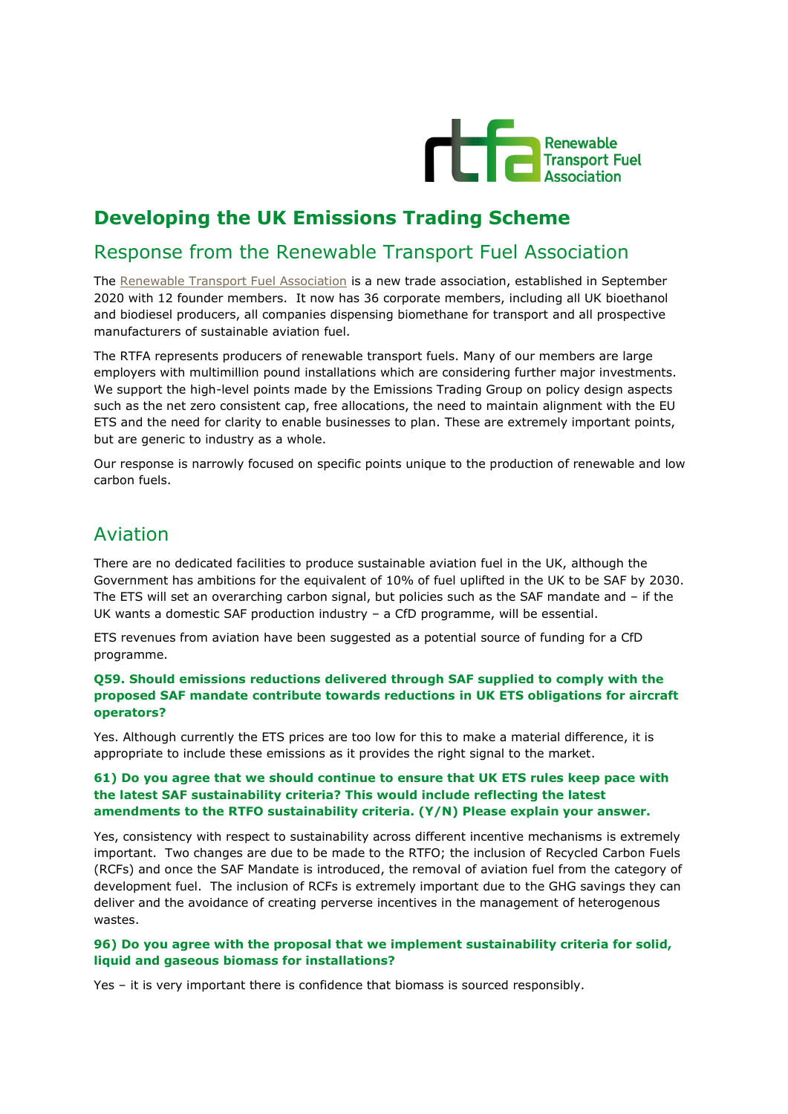

# **Developing the UK Emissions Trading Scheme**

### Response from the Renewable Transport Fuel Association

The [Renewable Transport Fuel Association](http://www.rtfa.org.uk/) is a new trade association, established in September 2020 with 12 founder members. It now has 36 corporate members, including all UK bioethanol and biodiesel producers, all companies dispensing biomethane for transport and all prospective manufacturers of sustainable aviation fuel.

The RTFA represents producers of renewable transport fuels. Many of our members are large employers with multimillion pound installations which are considering further major investments. We support the high-level points made by the Emissions Trading Group on policy design aspects such as the net zero consistent cap, free allocations, the need to maintain alignment with the EU ETS and the need for clarity to enable businesses to plan. These are extremely important points, but are generic to industry as a whole.

Our response is narrowly focused on specific points unique to the production of renewable and low carbon fuels.

### Aviation

There are no dedicated facilities to produce sustainable aviation fuel in the UK, although the Government has ambitions for the equivalent of 10% of fuel uplifted in the UK to be SAF by 2030. The ETS will set an overarching carbon signal, but policies such as the SAF mandate and – if the UK wants a domestic SAF production industry – a CfD programme, will be essential.

ETS revenues from aviation have been suggested as a potential source of funding for a CfD programme.

**Q59. Should emissions reductions delivered through SAF supplied to comply with the proposed SAF mandate contribute towards reductions in UK ETS obligations for aircraft operators?**

Yes. Although currently the ETS prices are too low for this to make a material difference, it is appropriate to include these emissions as it provides the right signal to the market.

### **61) Do you agree that we should continue to ensure that UK ETS rules keep pace with the latest SAF sustainability criteria? This would include reflecting the latest amendments to the RTFO sustainability criteria. (Y/N) Please explain your answer.**

Yes, consistency with respect to sustainability across different incentive mechanisms is extremely important. Two changes are due to be made to the RTFO; the inclusion of Recycled Carbon Fuels (RCFs) and once the SAF Mandate is introduced, the removal of aviation fuel from the category of development fuel. The inclusion of RCFs is extremely important due to the GHG savings they can deliver and the avoidance of creating perverse incentives in the management of heterogenous wastes.

### **96) Do you agree with the proposal that we implement sustainability criteria for solid, liquid and gaseous biomass for installations?**

Yes – it is very important there is confidence that biomass is sourced responsibly.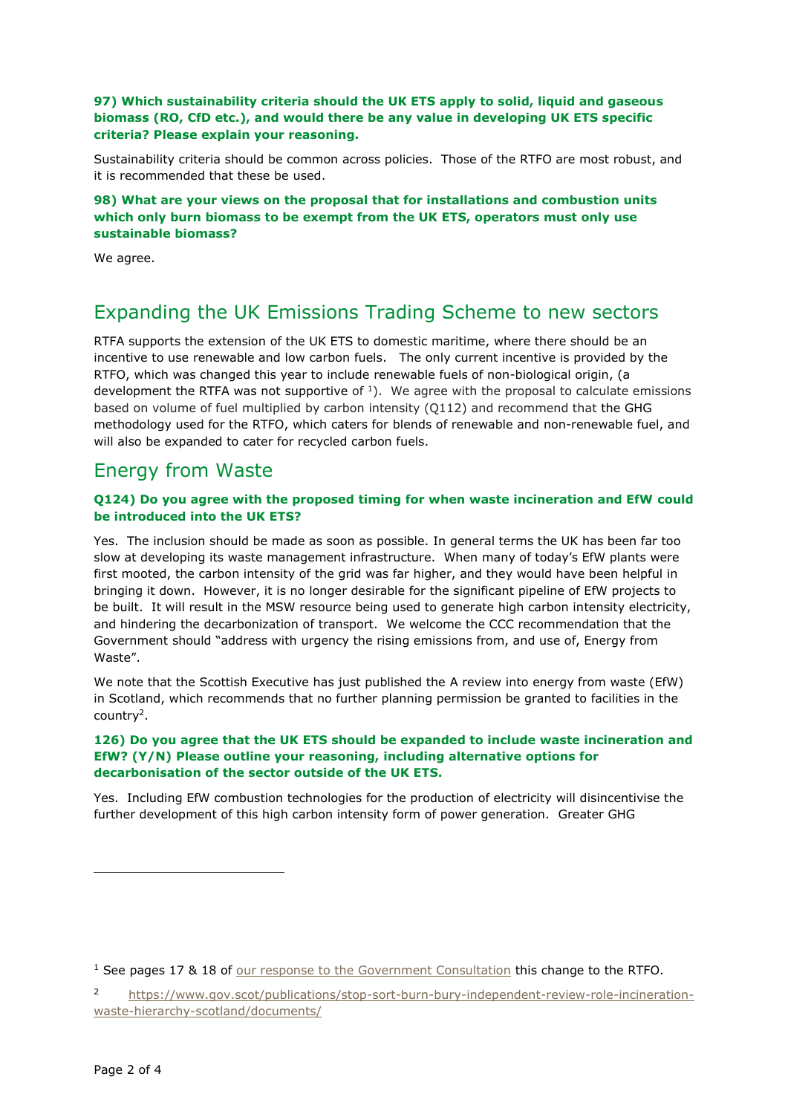#### **97) Which sustainability criteria should the UK ETS apply to solid, liquid and gaseous biomass (RO, CfD etc.), and would there be any value in developing UK ETS specific criteria? Please explain your reasoning.**

Sustainability criteria should be common across policies. Those of the RTFO are most robust, and it is recommended that these be used.

**98) What are your views on the proposal that for installations and combustion units which only burn biomass to be exempt from the UK ETS, operators must only use sustainable biomass?** 

We agree.

## Expanding the UK Emissions Trading Scheme to new sectors

RTFA supports the extension of the UK ETS to domestic maritime, where there should be an incentive to use renewable and low carbon fuels. The only current incentive is provided by the RTFO, which was changed this year to include renewable fuels of non-biological origin, (a development the RTFA was not supportive of  $1$ ). We agree with the proposal to calculate emissions based on volume of fuel multiplied by carbon intensity (Q112) and recommend that the GHG methodology used for the RTFO, which caters for blends of renewable and non-renewable fuel, and will also be expanded to cater for recycled carbon fuels.

### Energy from Waste

### **Q124) Do you agree with the proposed timing for when waste incineration and EfW could be introduced into the UK ETS?**

Yes. The inclusion should be made as soon as possible. In general terms the UK has been far too slow at developing its waste management infrastructure. When many of today's EfW plants were first mooted, the carbon intensity of the grid was far higher, and they would have been helpful in bringing it down. However, it is no longer desirable for the significant pipeline of EfW projects to be built. It will result in the MSW resource being used to generate high carbon intensity electricity, and hindering the decarbonization of transport. We welcome the CCC recommendation that the Government should "address with urgency the rising emissions from, and use of, Energy from Waste".

We note that the Scottish Executive has just published the A review into energy from waste (EfW) in Scotland, which recommends that no further planning permission be granted to facilities in the country<sup>2</sup>.

#### **126) Do you agree that the UK ETS should be expanded to include waste incineration and EfW? (Y/N) Please outline your reasoning, including alternative options for decarbonisation of the sector outside of the UK ETS.**

Yes. Including EfW combustion technologies for the production of electricity will disincentivise the further development of this high carbon intensity form of power generation. Greater GHG

<sup>&</sup>lt;sup>1</sup> See pages 17 & 18 of [our response to the Government Consultation](https://rtfa.org.uk/2021/04/23/rtfas-response-to-the-dfts-consultation-on-the-renewable-transport-fuel-obligation/) this change to the RTFO.

<sup>2</sup> [https://www.gov.scot/publications/stop-sort-burn-bury-independent-review-role-incineration](https://www.gov.scot/publications/stop-sort-burn-bury-independent-review-role-incineration-waste-hierarchy-scotland/documents/)[waste-hierarchy-scotland/documents/](https://www.gov.scot/publications/stop-sort-burn-bury-independent-review-role-incineration-waste-hierarchy-scotland/documents/)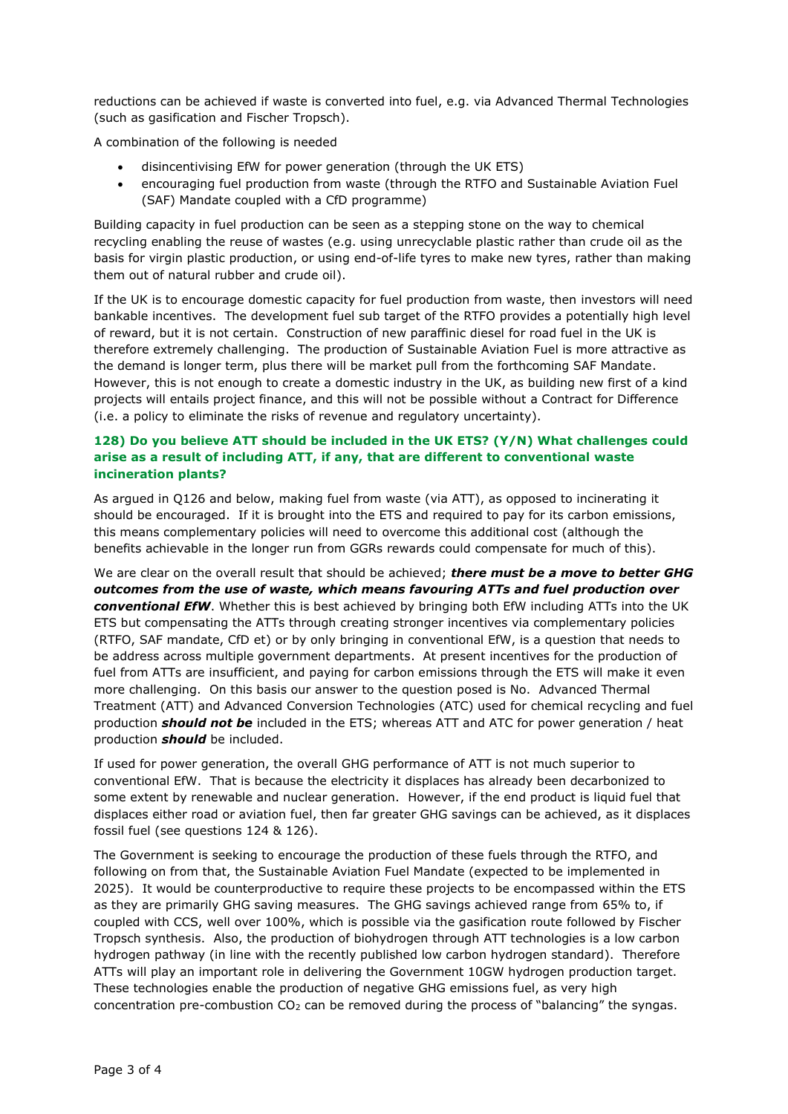reductions can be achieved if waste is converted into fuel, e.g. via Advanced Thermal Technologies (such as gasification and Fischer Tropsch).

A combination of the following is needed

- disincentivising EfW for power generation (through the UK ETS)
- encouraging fuel production from waste (through the RTFO and Sustainable Aviation Fuel (SAF) Mandate coupled with a CfD programme)

Building capacity in fuel production can be seen as a stepping stone on the way to chemical recycling enabling the reuse of wastes (e.g. using unrecyclable plastic rather than crude oil as the basis for virgin plastic production, or using end-of-life tyres to make new tyres, rather than making them out of natural rubber and crude oil).

If the UK is to encourage domestic capacity for fuel production from waste, then investors will need bankable incentives. The development fuel sub target of the RTFO provides a potentially high level of reward, but it is not certain. Construction of new paraffinic diesel for road fuel in the UK is therefore extremely challenging. The production of Sustainable Aviation Fuel is more attractive as the demand is longer term, plus there will be market pull from the forthcoming SAF Mandate. However, this is not enough to create a domestic industry in the UK, as building new first of a kind projects will entails project finance, and this will not be possible without a Contract for Difference (i.e. a policy to eliminate the risks of revenue and regulatory uncertainty).

#### **128) Do you believe ATT should be included in the UK ETS? (Y/N) What challenges could arise as a result of including ATT, if any, that are different to conventional waste incineration plants?**

As argued in Q126 and below, making fuel from waste (via ATT), as opposed to incinerating it should be encouraged. If it is brought into the ETS and required to pay for its carbon emissions, this means complementary policies will need to overcome this additional cost (although the benefits achievable in the longer run from GGRs rewards could compensate for much of this).

We are clear on the overall result that should be achieved; *there must be a move to better GHG outcomes from the use of waste, which means favouring ATTs and fuel production over conventional EfW*. Whether this is best achieved by bringing both EfW including ATTs into the UK ETS but compensating the ATTs through creating stronger incentives via complementary policies (RTFO, SAF mandate, CfD et) or by only bringing in conventional EfW, is a question that needs to be address across multiple government departments. At present incentives for the production of fuel from ATTs are insufficient, and paying for carbon emissions through the ETS will make it even more challenging. On this basis our answer to the question posed is No. Advanced Thermal Treatment (ATT) and Advanced Conversion Technologies (ATC) used for chemical recycling and fuel production *should not be* included in the ETS; whereas ATT and ATC for power generation / heat production *should* be included.

If used for power generation, the overall GHG performance of ATT is not much superior to conventional EfW. That is because the electricity it displaces has already been decarbonized to some extent by renewable and nuclear generation. However, if the end product is liquid fuel that displaces either road or aviation fuel, then far greater GHG savings can be achieved, as it displaces fossil fuel (see questions 124 & 126).

The Government is seeking to encourage the production of these fuels through the RTFO, and following on from that, the Sustainable Aviation Fuel Mandate (expected to be implemented in 2025). It would be counterproductive to require these projects to be encompassed within the ETS as they are primarily GHG saving measures. The GHG savings achieved range from 65% to, if coupled with CCS, well over 100%, which is possible via the gasification route followed by Fischer Tropsch synthesis. Also, the production of biohydrogen through ATT technologies is a low carbon hydrogen pathway (in line with the recently published low carbon hydrogen standard). Therefore ATTs will play an important role in delivering the Government 10GW hydrogen production target. These technologies enable the production of negative GHG emissions fuel, as very high concentration pre-combustion  $CO<sub>2</sub>$  can be removed during the process of "balancing" the syngas.